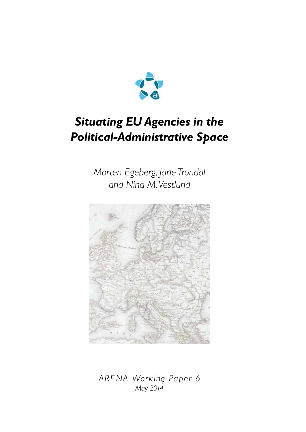

# *Situating EU Agencies in the Political-Administrative Space*

*Morten Egeberg, Jarle Trondal and Nina M. Vestlund*



*ARENA Working Paper 6 May 2014*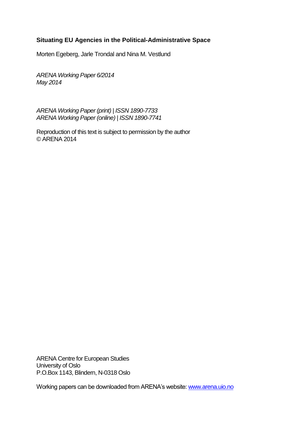#### **Situating EU Agencies in the Political-Administrative Space**

Morten Egeberg, Jarle Trondal and Nina M. Vestlund

*ARENA Working Paper 6/2014 May 2014*

*ARENA Working Paper (print) | ISSN 1890-7733 ARENA Working Paper (online) | ISSN 1890-7741*

Reproduction of this text is subject to permission by the author © ARENA 2014

ARENA Centre for European Studies University of Oslo P.O.Box 1143, Blindern, N-0318 Oslo

Working papers can be downloaded from ARENA's website[: www.arena.uio.no](http://www.arena.uio.no/)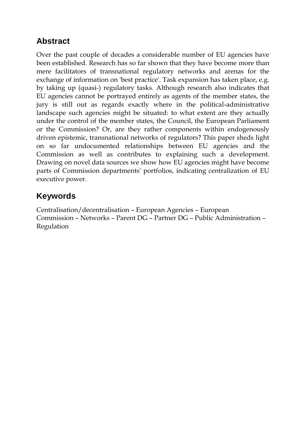### **Abstract**

Over the past couple of decades a considerable number of EU agencies have been established. Research has so far shown that they have become more than mere facilitators of transnational regulatory networks and arenas for the exchange of information on 'best practice'. Task expansion has taken place, e.g. by taking up (quasi-) regulatory tasks. Although research also indicates that EU agencies cannot be portrayed entirely as agents of the member states, the jury is still out as regards exactly where in the political-administrative landscape such agencies might be situated: to what extent are they actually under the control of the member states, the Council, the European Parliament or the Commission? Or, are they rather components within endogenously driven epistemic, transnational networks of regulators? This paper sheds light on so far undocumented relationships between EU agencies and the Commission as well as contributes to explaining such a development. Drawing on novel data sources we show how EU agencies might have become parts of Commission departments' portfolios, indicating centralization of EU executive power.

## **Keywords**

Centralisation/decentralisation – European Agencies – European Commission – Networks – Parent DG – Partner DG – Public Administration – Regulation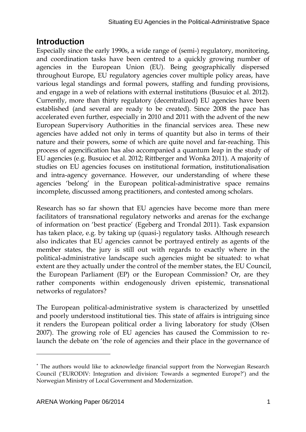### **Introduction**

Especially since the early 1990s, a wide range of (semi-) regulatory, monitoring, and coordination tasks have been centred to a quickly growing number of agencies in the European Union (EU). Being geographically dispersed throughout Europe, EU regulatory agencies cover multiple policy areas, have various legal standings and formal powers, staffing and funding provisions, and engage in a web of relations with external institutions (Busuioc et al. 2012). Currently, more than thirty regulatory (decentralized) EU agencies have been established (and several are ready to be created). Since 2008 the pace has accelerated even further, especially in 2010 and 2011 with the advent of the new European Supervisory Authorities in the financial services area. These new agencies have added not only in terms of quantity but also in terms of their nature and their powers, some of which are quite novel and far-reaching. This process of agencification has also accompanied a quantum leap in the study of EU agencies (e.g. Busuioc et al. 2012; Rittberger and Wonka 2011). A majority of studies on EU agencies focuses on institutional formation, institutionalisation and intra-agency governance. However, our understanding of where these agencies 'belong' in the European political-administrative space remains incomplete, discussed among practitioners, and contested among scholars.

Research has so far shown that EU agencies have become more than mere facilitators of transnational regulatory networks and arenas for the exchange of information on 'best practice' (Egeberg and Trondal 2011). Task expansion has taken place, e.g. by taking up (quasi-) regulatory tasks. Although research also indicates that EU agencies cannot be portrayed entirely as agents of the member states, the jury is still out with regards to exactly where in the political-administrative landscape such agencies might be situated: to what extent are they actually under the control of the member states, the EU Council, the European Parliament (EP) or the European Commission? Or, are they rather components within endogenously driven epistemic, transnational networks of regulators?

The European political-administrative system is characterized by unsettled and poorly understood institutional ties. This state of affairs is intriguing since it renders the European political order a living laboratory for study (Olsen 2007). The growing role of EU agencies has caused the Commission to relaunch the debate on 'the role of agencies and their place in the governance of

 $\overline{a}$ 

The authors would like to acknowledge financial support from the Norwegian Research Council ('EURODIV: Integration and division: Towards a segmented Europe?') and the Norwegian Ministry of Local Government and Modernization.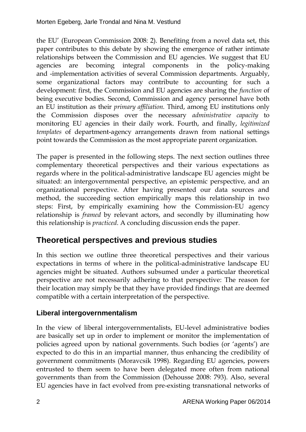the EU' (European Commission 2008: 2). Benefiting from a novel data set, this paper contributes to this debate by showing the emergence of rather intimate relationships between the Commission and EU agencies. We suggest that EU agencies are becoming integral components in the policy-making and -implementation activities of several Commission departments. Arguably, some organizational factors may contribute to accounting for such a development: first, the Commission and EU agencies are sharing the *function* of being executive bodies. Second, Commission and agency personnel have both an EU institution as their *primary affiliation.* Third, among EU institutions only the Commission disposes over the necessary *administrative capacity* to monitoring EU agencies in their daily work. Fourth, and finally, *legitimized templates* of department-agency arrangements drawn from national settings point towards the Commission as the most appropriate parent organization.

The paper is presented in the following steps. The next section outlines three complementary theoretical perspectives and their various expectations as regards where in the political-administrative landscape EU agencies might be situated: an intergovernmental perspective, an epistemic perspective, and an organizational perspective. After having presented our data sources and method, the succeeding section empirically maps this relationship in two steps: First, by empirically examining how the Commission-EU agency relationship is *framed* by relevant actors, and secondly by illuminating how this relationship is *practiced*. A concluding discussion ends the paper.

## **Theoretical perspectives and previous studies**

In this section we outline three theoretical perspectives and their various expectations in terms of where in the political-administrative landscape EU agencies might be situated. Authors subsumed under a particular theoretical perspective are not necessarily adhering to that perspective: The reason for their location may simply be that they have provided findings that are deemed compatible with a certain interpretation of the perspective.

#### **Liberal intergovernmentalism**

In the view of liberal intergovernmentalists, EU-level administrative bodies are basically set up in order to implement or monitor the implementation of policies agreed upon by national governments. Such bodies (or 'agents') are expected to do this in an impartial manner, thus enhancing the credibility of government commitments (Moravcsik 1998). Regarding EU agencies, powers entrusted to them seem to have been delegated more often from national governments than from the Commission (Dehousse 2008: 793). Also, several EU agencies have in fact evolved from pre-existing transnational networks of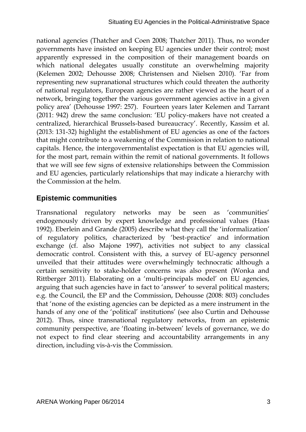national agencies (Thatcher and Coen 2008; Thatcher 2011). Thus, no wonder governments have insisted on keeping EU agencies under their control; most apparently expressed in the composition of their management boards on which national delegates usually constitute an overwhelming majority (Kelemen 2002; Dehousse 2008; Christensen and Nielsen 2010). 'Far from representing new supranational structures which could threaten the authority of national regulators, European agencies are rather viewed as the heart of a network, bringing together the various government agencies active in a given policy area' (Dehousse 1997: 257). Fourteen years later Kelemen and Tarrant (2011: 942) drew the same conclusion: 'EU policy-makers have not created a centralized, hierarchical Brussels-based bureaucracy'. Recently, Kassim et al. (2013: 131-32) highlight the establishment of EU agencies as one of the factors that might contribute to a weakening of the Commission in relation to national capitals. Hence, the intergovernmentalist expectation is that EU agencies will, for the most part, remain within the remit of national governments. It follows that we will see few signs of extensive relationships between the Commission and EU agencies, particularly relationships that may indicate a hierarchy with the Commission at the helm.

#### **Epistemic communities**

Transnational regulatory networks may be seen as 'communities' endogenously driven by expert knowledge and professional values (Haas 1992). Eberlein and Grande (2005) describe what they call the 'informalization' of regulatory politics, characterized by 'best-practice' and information exchange (cf. also Majone 1997), activities not subject to any classical democratic control. Consistent with this, a survey of EU-agency personnel unveiled that their attitudes were overwhelmingly technocratic although a certain sensitivity to stake-holder concerns was also present (Wonka and Rittberger 2011). Elaborating on a 'multi-principals model' on EU agencies, arguing that such agencies have in fact to 'answer' to several political masters; e.g. the Council, the EP and the Commission, Dehousse (2008: 803) concludes that 'none of the existing agencies can be depicted as a mere instrument in the hands of any one of the 'political' institutions' (see also Curtin and Dehousse 2012). Thus, since transnational regulatory networks, from an epistemic community perspective, are 'floating in-between' levels of governance, we do not expect to find clear steering and accountability arrangements in any direction, including vis-à-vis the Commission.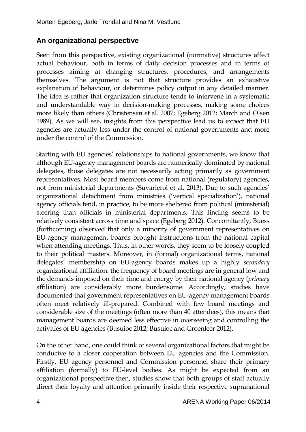#### **An organizational perspective**

Seen from this perspective, existing organizational (normative) structures affect actual behaviour, both in terms of daily decision processes and in terms of processes aiming at changing structures, procedures, and arrangements themselves. The argument is not that structure provides an exhaustive explanation of behaviour, or determines policy output in any detailed manner. The idea is rather that organization structure tends to intervene in a systematic and understandable way in decision-making processes, making some choices more likely than others (Christensen et al. 2007; Egeberg 2012; March and Olsen 1989). As we will see, insights from this perspective lead us to expect that EU agencies are actually less under the control of national governments and more under the control of the Commission.

Starting with EU agencies' relationships to national governments, we know that although EU-agency management boards are numerically dominated by national delegates, those delegates are not necessarily acting primarily as government representatives. Most board members come from national (regulatory) agencies, not from ministerial departments (Suvarierol et al. 2013). Due to such agencies' organizational detachment from ministries ('vertical specialization'), national agency officials tend, in practice, to be more sheltered from political (ministerial) steering than officials in ministerial departments. This finding seems to be relatively consistent across time and space (Egeberg 2012). Concomitantly, Buess (forthcoming) observed that only a minority of government representatives on EU-agency management boards brought instructions from the national capital when attending meetings. Thus, in other words, they seem to be loosely coupled to their political masters. Moreover, in (formal) organizational terms, national delegates' membership on EU-agency boards makes up a highly *secondary*  organizational affiliation: the frequency of board meetings are in general low and the demands imposed on their time and energy by their national agency (*primary* affiliation) are considerably more burdensome. Accordingly, studies have documented that government representatives on EU-agency management boards often meet relatively ill-prepared. Combined with few board meetings and considerable size of the meetings (often more than 40 attendees), this means that management boards are deemed less effective in overseeing and controlling the activities of EU agencies (Busuioc 2012; Busuioc and Groenleer 2012).

On the other hand, one could think of several organizational factors that might be conducive to a closer cooperation between EU agencies and the Commission. Firstly, EU agency personnel and Commission personnel share their primary affiliation (formally) to EU-level bodies. As might be expected from an organizational perspective then, studies show that both groups of staff actually direct their loyalty and attention primarily inside their respective supranational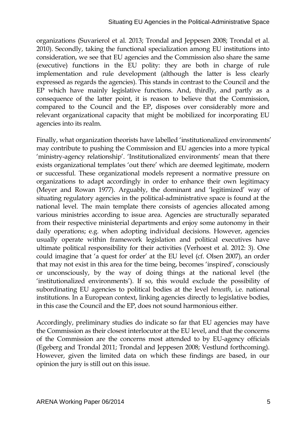organizations (Suvarierol et al. 2013; Trondal and Jeppesen 2008; Trondal et al. 2010). Secondly, taking the functional specialization among EU institutions into consideration, we see that EU agencies and the Commission also share the same (executive) functions in the EU polity: they are both in charge of rule implementation and rule development (although the latter is less clearly expressed as regards the agencies). This stands in contrast to the Council and the EP which have mainly legislative functions. And, thirdly, and partly as a consequence of the latter point, it is reason to believe that the Commission, compared to the Council and the EP, disposes over considerably more and relevant organizational capacity that might be mobilized for incorporating EU agencies into its realm.

Finally, what organization theorists have labelled 'institutionalized environments' may contribute to pushing the Commission and EU agencies into a more typical 'ministry-agency relationship'. 'Institutionalized environments' mean that there exists organizational templates 'out there' which are deemed legitimate, modern or successful. These organizational models represent a normative pressure on organizations to adapt accordingly in order to enhance their own legitimacy (Meyer and Rowan 1977). Arguably, the dominant and 'legitimized' way of situating regulatory agencies in the political-administrative space is found at the national level. The main template there consists of agencies allocated among various ministries according to issue area. Agencies are structurally separated from their respective ministerial departments and enjoy some autonomy in their daily operations; e.g. when adopting individual decisions. However, agencies usually operate within framework legislation and political executives have ultimate political responsibility for their activities (Verhoest et al. 2012: 3). One could imagine that 'a quest for order' at the EU level (cf. Olsen 2007), an order that may not exist in this area for the time being, becomes 'inspired', consciously or unconsciously, by the way of doing things at the national level (the 'institutionalized environments'). If so, this would exclude the possibility of subordinating EU agencies to political bodies at the level *beneath*, i.e. national institutions. In a European context, linking agencies directly to legislative bodies, in this case the Council and the EP, does not sound harmonious either.

Accordingly, preliminary studies do indicate so far that EU agencies may have the Commission as their closest interlocutor at the EU level, and that the concerns of the Commission are the concerns most attended to by EU-agency officials (Egeberg and Trondal 2011; Trondal and Jeppesen 2008; Vestlund forthcoming). However, given the limited data on which these findings are based, in our opinion the jury is still out on this issue.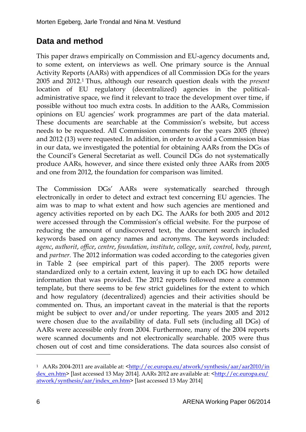## **Data and method**

This paper draws empirically on Commission and EU-agency documents and, to some extent, on interviews as well. One primary source is the Annual Activity Reports (AARs) with appendices of all Commission DGs for the years 2005 and 2012.<sup>1</sup> Thus, although our research question deals with the *present* location of EU regulatory (decentralized) agencies in the politicaladministrative space, we find it relevant to trace the development over time, if possible without too much extra costs. In addition to the AARs, Commission opinions on EU agencies' work programmes are part of the data material. These documents are searchable at the Commission's website, but access needs to be requested. All Commission comments for the years 2005 (three) and 2012 (13) were requested. In addition, in order to avoid a Commission bias in our data, we investigated the potential for obtaining AARs from the DGs of the Council's General Secretariat as well. Council DGs do not systematically produce AARs, however, and since there existed only three AARs from 2005 and one from 2012, the foundation for comparison was limited.

The Commission DGs' AARs were systematically searched through electronically in order to detect and extract text concerning EU agencies. The aim was to map to what extent and how such agencies are mentioned and agency activities reported on by each DG. The AARs for both 2005 and 2012 were accessed through the Commission's official website. For the purpose of reducing the amount of undiscovered text, the document search included keywords based on agency names and acronyms. The keywords included: *agenc*, *authorit*, *office*, *centre*, *foundation*, *institute*, *college*, *unit*, *control*, *body*, *parent*, and *partner.* The 2012 information was coded according to the categories given in Table 2 (see empirical part of this paper). The 2005 reports were standardized only to a certain extent, leaving it up to each DG how detailed information that was provided. The 2012 reports followed more a common template, but there seems to be few strict guidelines for the extent to which and how regulatory (decentralized) agencies and their activities should be commented on. Thus, an important caveat in the material is that the reports might be subject to over and/or under reporting. The years 2005 and 2012 were chosen due to the availability of data. Full sets (including all DGs) of AARs were accessible only from 2004. Furthermore, many of the 2004 reports were scanned documents and not electronically searchable. 2005 were thus chosen out of cost and time considerations. The data sources also consist of

 $\overline{a}$ 

<sup>1</sup> AARs 2004-2011 are available at: [<http://ec.europa.eu/atwork/synthesis/aar/aar2010/in](http://ec.europa.eu/atwork/synthesis/aar/aar2010/index_en.htm) [dex\\_en.htm>](http://ec.europa.eu/atwork/synthesis/aar/aar2010/index_en.htm) [last accessed 13 May 2014]. AARs 2012 are available at: [<http://ec.europa.eu/](http://ec.europa.eu/atwork/synthesis/aar/index_en.htm) [atwork/synthesis/aar/index\\_en.htm>](http://ec.europa.eu/atwork/synthesis/aar/index_en.htm) [last accessed 13 May 2014]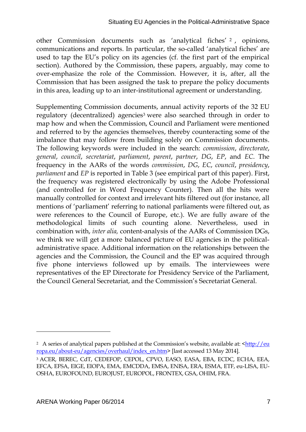other Commission documents such as 'analytical fiches' <sup>2</sup> , opinions, communications and reports. In particular, the so-called 'analytical fiches' are used to tap the EU's policy on its agencies (cf. the first part of the empirical section). Authored by the Commission, these papers, arguably, may come to over-emphasize the role of the Commission. However, it is, after, all the Commission that has been assigned the task to prepare the policy documents in this area, leading up to an inter-institutional agreement or understanding.

Supplementing Commission documents, annual activity reports of the 32 EU regulatory (decentralized) agencies<sup>3</sup> were also searched through in order to map how and when the Commission, Council and Parliament were mentioned and referred to by the agencies themselves, thereby counteracting some of the imbalance that may follow from building solely on Commission documents. The following keywords were included in the search: *commission*, *directorate*, *general*, *council*, *secretariat*, *parliament*, *parent*, *partner*, *DG*, *EP*, and *EC*. The frequency in the AARs of the words *commission*, *DG*, *EC*, *council*, *presidency*, *parliament* and *EP* is reported in Table 3 (see empirical part of this paper). First, the frequency was registered electronically by using the Adobe Professional (and controlled for in Word Frequency Counter). Then all the hits were manually controlled for context and irrelevant hits filtered out (for instance, all mentions of 'parliament' referring to national parliaments were filtered out, as were references to the Council of Europe, etc.). We are fully aware of the methodological limits of such counting alone. Nevertheless, used in combination with, *inter alia,* content-analysis of the AARs of Commission DGs, we think we will get a more balanced picture of EU agencies in the politicaladministrative space. Additional information on the relationships between the agencies and the Commission, the Council and the EP was acquired through five phone interviews followed up by emails. The interviewees were representatives of the EP Directorate for Presidency Service of the Parliament, the Council General Secretariat, and the Commission's Secretariat General.

 $\overline{a}$ 

<sup>&</sup>lt;sup>2</sup> A series of analytical papers published at the Commission's website, available at:  $\frac{\text{http://eu}}{\text{http://eu}}$ [ropa.eu/about-eu/agencies/overhaul/index\\_en.htm>](http://europa.eu/about-eu/agencies/overhaul/index_en.htm) [last accessed 13 May 2014].

<sup>3</sup> ACER, BEREC, CdT, CEDEFOP, CEPOL, CPVO, EASO, EASA, EBA, ECDC, ECHA, EEA, EFCA, EFSA, EIGE, EIOPA, EMA, EMCDDA, EMSA, ENISA, ERA, ESMA, ETF, eu-LISA, EU-OSHA, EUROFOUND, EUROJUST, EUROPOL, FRONTEX, GSA, OHIM, FRA.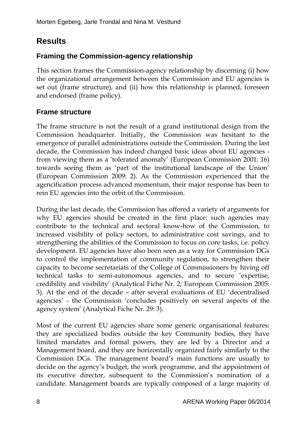## **Results**

#### **Framing the Commission-agency relationship**

This section frames the Commission-agency relationship by discerning (i) how the organizational arrangement between the Commission and EU agencies is set out (frame structure), and (ii) how this relationship is planned, foreseen and endorsed (frame policy).

#### **Frame structure**

The frame structure is not the result of a grand institutional design from the Commission headquarter. Initially, the Commission was hesitant to the emergence of parallel administrations outside the Commission. During the last decade, the Commission has indeed changed basic ideas about EU agencies from viewing them as a 'tolerated anomaly' (European Commission 2001: 16) towards seeing them as 'part of the institutional landscape of the Union' (European Commission 2009: 2). As the Commission experienced that the agencification process advanced momentum, their major response has been to rein EU agencies into the orbit of the Commission.

During the last decade, the Commission has offered a variety of arguments for why EU agencies should be created in the first place: such agencies may contribute to the technical and sectoral know-how of the Commission, to increased visibility of policy sectors, to administrative cost savings, and to strengthening the abilities of the Commission to focus on core tasks, i.e. policy development. EU agencies have also been seen as a way for Commission DGs to control the implementation of community regulation, to strengthen their capacity to become secretariats of the College of Commissioners by hiving off technical tasks to semi-autonomous agencies, and to secure 'expertise, credibility and visibility' (Analytical Fiche Nr. 2; European Commission 2005: 3). At the end of the decade – after several evaluations of EU 'decentralised agencies' - the Commission 'concludes positively on several aspects of the agency system' (Analytical Fiche Nr. 29: 3).

Most of the current EU agencies share some generic organisational features: they are specialized bodies outside the key Community bodies, they have limited mandates and formal powers, they are led by a Director and a Management board, and they are horizontally organized fairly similarly to the Commission DGs. The management board's main functions are usually to decide on the agency's budget, the work programme, and the appointment of its executive director, subsequent to the Commission's nomination of a candidate. Management boards are typically composed of a large majority of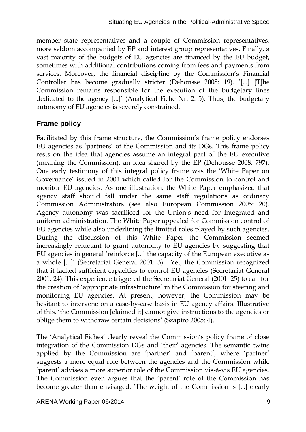member state representatives and a couple of Commission representatives; more seldom accompanied by EP and interest group representatives. Finally, a vast majority of the budgets of EU agencies are financed by the EU budget, sometimes with additional contributions coming from fees and payments from services. Moreover, the financial discipline by the Commission's Financial Controller has become gradually stricter (Dehousse 2008: 19). '[...] [T]he Commission remains responsible for the execution of the budgetary lines dedicated to the agency [...]' (Analytical Fiche Nr. 2: 5). Thus, the budgetary autonomy of EU agencies is severely constrained.

#### **Frame policy**

Facilitated by this frame structure, the Commission's frame policy endorses EU agencies as 'partners' of the Commission and its DGs. This frame policy rests on the idea that agencies assume an integral part of the EU executive (meaning the Commission); an idea shared by the EP (Dehousse 2008: 797). One early testimony of this integral policy frame was the 'White Paper on Governance' issued in 2001 which called for the Commission to control and monitor EU agencies. As one illustration, the White Paper emphasized that agency staff should fall under the same staff regulations as ordinary Commission Administrators (see also European Commission 2005: 20). Agency autonomy was sacrificed for the Union's need for integrated and uniform administration. The White Paper appealed for Commission control of EU agencies while also underlining the limited roles played by such agencies. During the discussion of this White Paper the Commission seemed increasingly reluctant to grant autonomy to EU agencies by suggesting that EU agencies in general 'reinforce [...] the capacity of the European executive as a whole [...]' (Secretariat General 2001: 3). Yet, the Commission recognized that it lacked sufficient capacities to control EU agencies (Secretariat General 2001: 24). This experience triggered the Secretariat General (2001: 25) to call for the creation of 'appropriate infrastructure' in the Commission for steering and monitoring EU agencies. At present, however, the Commission may be hesitant to intervene on a case-by-case basis in EU agency affairs. Illustrative of this, 'the Commission [claimed it] cannot give instructions to the agencies or oblige them to withdraw certain decisions' (Szapiro 2005: 4).

The 'Analytical Fiches' clearly reveal the Commission's policy frame of close integration of the Commission DGs and 'their' agencies. The semantic twins applied by the Commission are 'partner' and 'parent', where 'partner' suggests a more equal role between the agencies and the Commission while 'parent' advises a more superior role of the Commission vis-à-vis EU agencies. The Commission even argues that the 'parent' role of the Commission has become greater than envisaged: 'The weight of the Commission is [...] clearly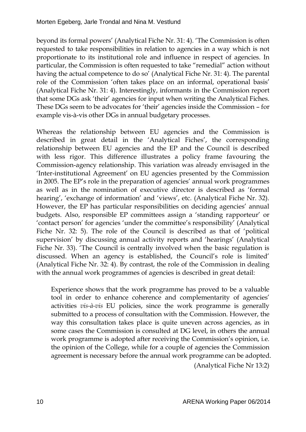beyond its formal powers' (Analytical Fiche Nr. 31: 4). 'The Commission is often requested to take responsibilities in relation to agencies in a way which is not proportionate to its institutional role and influence in respect of agencies. In particular, the Commission is often requested to take "remedial" action without having the actual competence to do so' (Analytical Fiche Nr. 31: 4). The parental role of the Commission 'often takes place on an informal, operational basis' (Analytical Fiche Nr. 31: 4). Interestingly, informants in the Commission report that some DGs ask 'their' agencies for input when writing the Analytical Fiches. These DGs seem to be advocates for 'their' agencies inside the Commission – for example vis-à-vis other DGs in annual budgetary processes.

Whereas the relationship between EU agencies and the Commission is described in great detail in the 'Analytical Fiches', the corresponding relationship between EU agencies and the EP and the Council is described with less rigor. This difference illustrates a policy frame favouring the Commission-agency relationship. This variation was already envisaged in the 'Inter-institutional Agreement' on EU agencies presented by the Commission in 2005. The EP's role in the preparation of agencies' annual work programmes as well as in the nomination of executive director is described as 'formal hearing', 'exchange of information' and 'views', etc. (Analytical Fiche Nr. 32). However, the EP has particular responsibilities on deciding agencies' annual budgets. Also, responsible EP committees assign a 'standing rapporteur' or 'contact person' for agencies 'under the committee's responsibility' (Analytical Fiche Nr. 32: 5). The role of the Council is described as that of 'political supervision' by discussing annual activity reports and 'hearings' (Analytical Fiche Nr. 33). 'The Council is centrally involved when the basic regulation is discussed. When an agency is established, the Council's role is limited' (Analytical Fiche Nr. 32: 4). By contrast, the role of the Commission in dealing with the annual work programmes of agencies is described in great detail:

Experience shows that the work programme has proved to be a valuable tool in order to enhance coherence and complementarity of agencies' activities *vis-à-vis* EU policies, since the work programme is generally submitted to a process of consultation with the Commission. However, the way this consultation takes place is quite uneven across agencies, as in some cases the Commission is consulted at DG level, in others the annual work programme is adopted after receiving the Commission's opinion, i.e. the opinion of the College, while for a couple of agencies the Commission agreement is necessary before the annual work programme can be adopted. (Analytical Fiche Nr 13:2)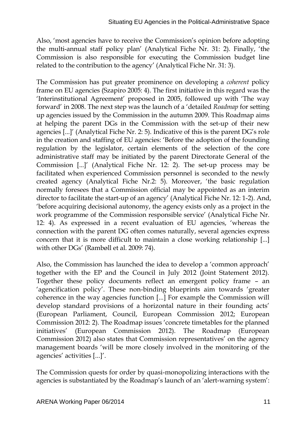Also, 'most agencies have to receive the Commission's opinion before adopting the multi-annual staff policy plan' (Analytical Fiche Nr. 31: 2). Finally, 'the Commission is also responsible for executing the Commission budget line related to the contribution to the agency' (Analytical Fiche Nr. 31: 3).

The Commission has put greater prominence on developing a *coherent* policy frame on EU agencies (Szapiro 2005: 4). The first initiative in this regard was the 'Interinstitutional Agreement' proposed in 2005, followed up with 'The way forward' in 2008. The next step was the launch of a 'detailed *Roadmap* for setting up agencies issued by the Commission in the autumn 2009. This Roadmap aims at helping the parent DGs in the Commission with the set-up of their new agencies [...]' (Analytical Fiche Nr. 2: 5). Indicative of this is the parent DG's role in the creation and staffing of EU agencies: 'Before the adoption of the founding regulation by the legislator, certain elements of the selection of the core administrative staff may be initiated by the parent Directorate General of the Commission [...]' (Analytical Fiche Nr. 12: 2). The set-up process may be facilitated when experienced Commission personnel is seconded to the newly created agency (Analytical Fiche Nr.2: 5). Moreover, 'the basic regulation normally foresees that a Commission official may be appointed as an interim director to facilitate the start-up of an agency' (Analytical Fiche Nr. 12: 1-2). And, 'before acquiring decisional autonomy, the agency exists only as a project in the work programme of the Commission responsible service' (Analytical Fiche Nr. 12: 4). As expressed in a recent evaluation of EU agencies, 'whereas the connection with the parent DG often comes naturally, several agencies express concern that it is more difficult to maintain a close working relationship [...] with other DGs' (Rambøll et al. 2009: 74).

Also, the Commission has launched the idea to develop a 'common approach' together with the EP and the Council in July 2012 (Joint Statement 2012). Together these policy documents reflect an emergent policy frame – an 'agencification policy'. These non-binding blueprints aim towards 'greater coherence in the way agencies function [...] For example the Commission will develop standard provisions of a horizontal nature in their founding acts' (European Parliament, Council, European Commission 2012; European Commission 2012: 2). The Roadmap issues 'concrete timetables for the planned initiatives' (European Commission 2012). The Roadmap (European Commission 2012) also states that Commission representatives' on the agency management boards 'will be more closely involved in the monitoring of the agencies' activities [...]'.

The Commission quests for order by quasi-monopolizing interactions with the agencies is substantiated by the Roadmap's launch of an 'alert-warning system':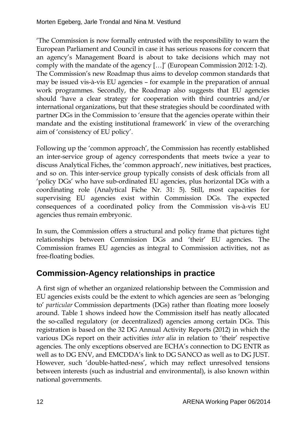'The Commission is now formally entrusted with the responsibility to warn the European Parliament and Council in case it has serious reasons for concern that an agency's Management Board is about to take decisions which may not comply with the mandate of the agency […]' (European Commission 2012: 1-2). The Commission's new Roadmap thus aims to develop common standards that may be issued vis-à-vis EU agencies – for example in the preparation of annual work programmes. Secondly, the Roadmap also suggests that EU agencies should 'have a clear strategy for cooperation with third countries and/or international organizations, but that these strategies should be coordinated with partner DGs in the Commission to 'ensure that the agencies operate within their mandate and the existing institutional framework' in view of the overarching aim of 'consistency of EU policy'.

Following up the 'common approach', the Commission has recently established an inter-service group of agency correspondents that meets twice a year to discuss Analytical Fiches, the 'common approach', new initiatives, best practices, and so on. This inter-service group typically consists of desk officials from all 'policy DGs' who have sub-ordinated EU agencies, plus horizontal DGs with a coordinating role (Analytical Fiche Nr. 31: 5). Still, most capacities for supervising EU agencies exist within Commission DGs. The expected consequences of a coordinated policy from the Commission vis-à-vis EU agencies thus remain embryonic.

In sum, the Commission offers a structural and policy frame that pictures tight relationships between Commission DGs and 'their' EU agencies. The Commission frames EU agencies as integral to Commission activities, not as free-floating bodies.

### **Commission-Agency relationships in practice**

A first sign of whether an organized relationship between the Commission and EU agencies exists could be the extent to which agencies are seen as 'belonging to' *particular* Commission departments (DGs) rather than floating more loosely around. Table 1 shows indeed how the Commission itself has neatly allocated the so-called regulatory (or decentralized) agencies among certain DGs. This registration is based on the 32 DG Annual Activity Reports (2012) in which the various DGs report on their activities *inter alia* in relation to 'their' respective agencies. The only exceptions observed are ECHA's connection to DG ENTR as well as to DG ENV, and EMCDDA's link to DG SANCO as well as to DG JUST. However, such 'double-hatted-ness', which may reflect unresolved tensions between interests (such as industrial and environmental), is also known within national governments.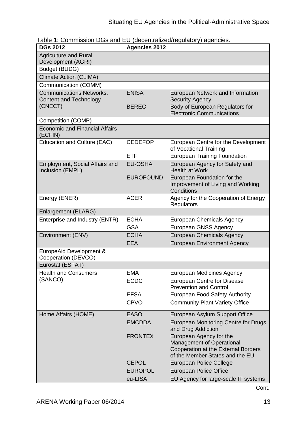| <b>DGs 2012</b>                                                  | <b>Agencies 2012</b> |                                                                                                                                       |
|------------------------------------------------------------------|----------------------|---------------------------------------------------------------------------------------------------------------------------------------|
| <b>Agriculture and Rural</b><br>Development (AGRI)               |                      |                                                                                                                                       |
| Budget (BUDG)                                                    |                      |                                                                                                                                       |
| <b>Climate Action (CLIMA)</b>                                    |                      |                                                                                                                                       |
| Communication (COMM)                                             |                      |                                                                                                                                       |
| <b>Communications Networks,</b><br><b>Content and Technology</b> | <b>ENISA</b>         | European Network and Information<br><b>Security Agency</b>                                                                            |
| (CNECT)                                                          | <b>BEREC</b>         | Body of European Regulators for<br><b>Electronic Communications</b>                                                                   |
| Competition (COMP)                                               |                      |                                                                                                                                       |
| <b>Economic and Financial Affairs</b><br>(ECFIN)                 |                      |                                                                                                                                       |
| <b>Education and Culture (EAC)</b>                               | <b>CEDEFOP</b>       | European Centre for the Development<br>of Vocational Training                                                                         |
|                                                                  | <b>ETF</b>           | <b>European Training Foundation</b>                                                                                                   |
| Employment, Social Affairs and<br>Inclusion (EMPL)               | EU-OSHA              | European Agency for Safety and<br><b>Health at Work</b>                                                                               |
|                                                                  | <b>EUROFOUND</b>     | European Foundation for the<br>Improvement of Living and Working<br>Conditions                                                        |
| Energy (ENER)                                                    | <b>ACER</b>          | Agency for the Cooperation of Energy<br>Regulators                                                                                    |
| Enlargement (ELARG)                                              |                      |                                                                                                                                       |
| Enterprise and Industry (ENTR)                                   | <b>ECHA</b>          | <b>European Chemicals Agency</b>                                                                                                      |
|                                                                  | <b>GSA</b>           | <b>European GNSS Agency</b>                                                                                                           |
| Environment (ENV)                                                | <b>ECHA</b>          | <b>European Chemicals Agency</b>                                                                                                      |
|                                                                  | <b>EEA</b>           | <b>European Environment Agency</b>                                                                                                    |
| EuropeAid Development &<br>Cooperation (DEVCO)                   |                      |                                                                                                                                       |
| Eurostat (ESTAT)                                                 |                      |                                                                                                                                       |
| <b>Health and Consumers</b>                                      | <b>EMA</b>           | <b>European Medicines Agency</b>                                                                                                      |
| (SANCO)                                                          | <b>ECDC</b>          | <b>European Centre for Disease</b><br><b>Prevention and Control</b>                                                                   |
|                                                                  | <b>EFSA</b>          | <b>European Food Safety Authority</b>                                                                                                 |
|                                                                  | <b>CPVO</b>          | <b>Community Plant Variety Office</b>                                                                                                 |
| Home Affairs (HOME)                                              | <b>EASO</b>          | European Asylum Support Office                                                                                                        |
|                                                                  | <b>EMCDDA</b>        | European Monitoring Centre for Drugs<br>and Drug Addiction                                                                            |
|                                                                  | <b>FRONTEX</b>       | European Agency for the<br><b>Management of Operational</b><br>Cooperation at the External Borders<br>of the Member States and the EU |
|                                                                  | <b>CEPOL</b>         | European Police College                                                                                                               |
|                                                                  | <b>EUROPOL</b>       | <b>European Police Office</b>                                                                                                         |
|                                                                  | eu-LISA              | EU Agency for large-scale IT systems                                                                                                  |

| Table 1: Commission DGs and EU (decentralized/regulatory) agencies. |  |
|---------------------------------------------------------------------|--|
|                                                                     |  |

Cont.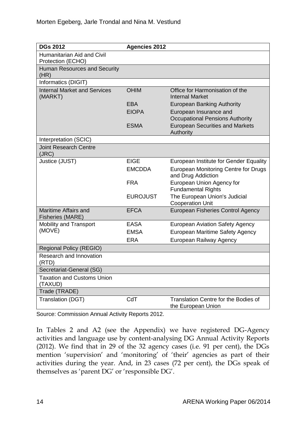| <b>DGs 2012</b>                                 | <b>Agencies 2012</b> |                                                                  |
|-------------------------------------------------|----------------------|------------------------------------------------------------------|
| Humanitarian Aid and Civil<br>Protection (ECHO) |                      |                                                                  |
| <b>Human Resources and Security</b><br>(HR)     |                      |                                                                  |
| Informatics (DIGIT)                             |                      |                                                                  |
| <b>Internal Market and Services</b><br>(MARKT)  | <b>OHIM</b>          | Office for Harmonisation of the<br><b>Internal Market</b>        |
|                                                 | <b>EBA</b>           | <b>European Banking Authority</b>                                |
|                                                 | <b>EIOPA</b>         | European Insurance and<br><b>Occupational Pensions Authority</b> |
|                                                 | <b>ESMA</b>          | <b>European Securities and Markets</b><br>Authority              |
| Interpretation (SCIC)                           |                      |                                                                  |
| <b>Joint Research Centre</b><br>(JRC)           |                      |                                                                  |
| Justice (JUST)                                  | <b>EIGE</b>          | European Institute for Gender Equality                           |
|                                                 | <b>EMCDDA</b>        | European Monitoring Centre for Drugs<br>and Drug Addiction       |
|                                                 | <b>FRA</b>           | European Union Agency for<br><b>Fundamental Rights</b>           |
|                                                 | <b>EUROJUST</b>      | The European Union's Judicial<br><b>Cooperation Unit</b>         |
| Maritime Affairs and<br><b>Fisheries (MARE)</b> | <b>EFCA</b>          | <b>European Fisheries Control Agency</b>                         |
| <b>Mobility and Transport</b>                   | <b>EASA</b>          | <b>European Aviation Safety Agency</b>                           |
| (MOVE)                                          | <b>EMSA</b>          | European Maritime Safety Agency                                  |
|                                                 | <b>ERA</b>           | European Railway Agency                                          |
| <b>Regional Policy (REGIO)</b>                  |                      |                                                                  |
| Research and Innovation<br>(RTD)                |                      |                                                                  |
| Secretariat-General (SG)                        |                      |                                                                  |
| <b>Taxation and Customs Union</b><br>(TAXUD)    |                      |                                                                  |
| Trade (TRADE)                                   |                      |                                                                  |
| Translation (DGT)                               | CdT                  | Translation Centre for the Bodies of<br>the European Union       |

Source: Commission Annual Activity Reports 2012.

In Tables 2 and A2 (see the Appendix) we have registered DG-Agency activities and language use by content-analysing DG Annual Activity Reports (2012). We find that in 29 of the 32 agency cases (i.e. 91 per cent), the DGs mention 'supervision' and 'monitoring' of 'their' agencies as part of their activities during the year. And, in 23 cases (72 per cent), the DGs speak of themselves as 'parent DG' or 'responsible DG'.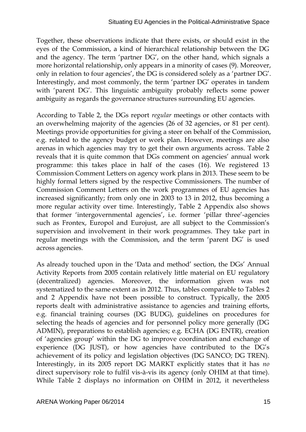Together, these observations indicate that there exists, or should exist in the eyes of the Commission, a kind of hierarchical relationship between the DG and the agency. The term 'partner DG', on the other hand, which signals a more horizontal relationship, only appears in a minority of cases (9). Moreover, only in relation to four agencies', the DG is considered solely as a 'partner DG'. Interestingly, and most commonly, the term 'partner DG' operates in tandem with 'parent DG'. This linguistic ambiguity probably reflects some power ambiguity as regards the governance structures surrounding EU agencies.

According to Table 2, the DGs report *regular* meetings or other contacts with an overwhelming majority of the agencies (26 of 32 agencies, or 81 per cent). Meetings provide opportunities for giving a steer on behalf of the Commission, e.g. related to the agency budget or work plan. However, meetings are also arenas in which agencies may try to get their own arguments across. Table 2 reveals that it is quite common that DGs comment on agencies' annual work programme: this takes place in half of the cases (16). We registered 13 Commission Comment Letters on agency work plans in 2013. These seem to be highly formal letters signed by the respective Commissioners. The number of Commission Comment Letters on the work programmes of EU agencies has increased significantly; from only one in 2003 to 13 in 2012, thus becoming a more regular activity over time. Interestingly, Table 2 Appendix also shows that former 'intergovernmental agencies', i.e. former 'pillar three'-agencies such as Frontex, Europol and Eurojust, are all subject to the Commission's supervision and involvement in their work programmes. They take part in regular meetings with the Commission, and the term 'parent DG' is used across agencies.

As already touched upon in the 'Data and method' section, the DGs' Annual Activity Reports from 2005 contain relatively little material on EU regulatory (decentralized) agencies. Moreover, the information given was not systematized to the same extent as in 2012. Thus, tables comparable to Tables 2 and 2 Appendix have not been possible to construct. Typically, the 2005 reports dealt with administrative assistance to agencies and training efforts, e.g. financial training courses (DG BUDG), guidelines on procedures for selecting the heads of agencies and for personnel policy more generally (DG ADMIN), preparations to establish agencies; e.g. ECHA (DG ENTR), creation of 'agencies group' within the DG to improve coordination and exchange of experience (DG JUST), or how agencies have contributed to the DG's achievement of its policy and legislation objectives (DG SANCO; DG TREN). Interestingly, in its 2005 report DG MARKT explicitly states that it has *no* direct supervisory role to fulfil vis-à-vis its agency (only OHIM at that time). While Table 2 displays no information on OHIM in 2012, it nevertheless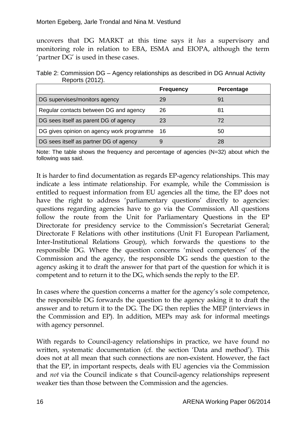uncovers that DG MARKT at this time says it *has* a supervisory and monitoring role in relation to EBA, ESMA and EIOPA, although the term 'partner DG' is used in these cases.

Table 2: Commission DG – Agency relationships as described in DG Annual Activity Reports (2012).

|                                           | <b>Frequency</b> | Percentage |
|-------------------------------------------|------------------|------------|
| DG supervises/monitors agency             | 29               | g.         |
| Regular contacts between DG and agency    | 26               | 81         |
| DG sees itself as parent DG of agency     | 23               | 72         |
| DG gives opinion on agency work programme | 16               | 50         |
| DG sees itself as partner DG of agency    |                  |            |

Note: The table shows the frequency and percentage of agencies (N=32) about which the following was said.

It is harder to find documentation as regards EP-agency relationships. This may indicate a less intimate relationship. For example, while the Commission is entitled to request information from EU agencies all the time, the EP does not have the right to address 'parliamentary questions' directly to agencies: questions regarding agencies have to go via the Commission. All questions follow the route from the Unit for Parliamentary Questions in the EP Directorate for presidency service to the Commission's Secretariat General; Directorate F Relations with other institutions (Unit F1 European Parliament, Inter-Institutional Relations Group), which forwards the questions to the responsible DG. Where the question concerns 'mixed competences' of the Commission and the agency, the responsible DG sends the question to the agency asking it to draft the answer for that part of the question for which it is competent and to return it to the DG, which sends the reply to the EP.

In cases where the question concerns a matter for the agency's sole competence, the responsible DG forwards the question to the agency asking it to draft the answer and to return it to the DG. The DG then replies the MEP (interviews in the Commission and EP). In addition, MEPs may ask for informal meetings with agency personnel.

With regards to Council-agency relationships in practice, we have found no written, systematic documentation (cf. the section 'Data and method'). This does not at all mean that such connections are non-existent. However, the fact that the EP, in important respects, deals with EU agencies via the Commission and *not* via the Council indicate s that Council-agency relationships represent weaker ties than those between the Commission and the agencies.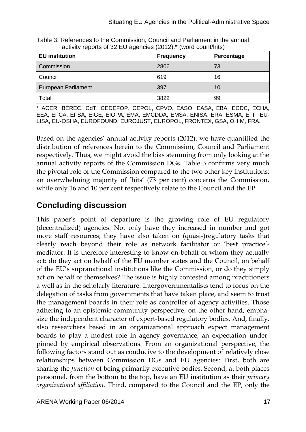| <b>EU</b> institution      | <b>Frequency</b> | Percentage |
|----------------------------|------------------|------------|
| Commission                 | 2806             | 73         |
| Council                    | 619              | 16         |
| <b>European Parliament</b> | 397              | 10         |
| Total                      | 3822             | 99         |

Table 3: References to the Commission, Council and Parliament in the annual activity reports of 32 EU agencies (2012).**\*** (word count/hits)

\* ACER, BEREC, CdT, CEDEFOP, CEPOL, CPVO, EASO, EASA, EBA, ECDC, ECHA, EEA, EFCA, EFSA, EIGE, EIOPA, EMA, EMCDDA, EMSA, ENISA, ERA, ESMA, ETF, EU-LISA, EU-OSHA, EUROFOUND, EUROJUST, EUROPOL, FRONTEX, GSA, OHIM, FRA.

Based on the agencies' annual activity reports (2012), we have quantified the distribution of references herein to the Commission, Council and Parliament respectively. Thus, we might avoid the bias stemming from only looking at the annual activity reports of the Commission DGs. Table 3 confirms very much the pivotal role of the Commission compared to the two other key institutions: an overwhelming majority of 'hits' (73 per cent) concerns the Commission, while only 16 and 10 per cent respectively relate to the Council and the EP.

## **Concluding discussion**

This paper's point of departure is the growing role of EU regulatory (decentralized) agencies. Not only have they increased in number and got more staff resources; they have also taken on (quasi-)regulatory tasks that clearly reach beyond their role as network facilitator or 'best practice' mediator. It is therefore interesting to know on behalf of whom they actually act: do they act on behalf of the EU member states and the Council, on behalf of the EU's supranational institutions like the Commission, or do they simply act on behalf of themselves? The issue is highly contested among practitioners a well as in the scholarly literature: Intergovernmentalists tend to focus on the delegation of tasks from governments that have taken place, and seem to trust the management boards in their role as controller of agency activities. Those adhering to an epistemic-community perspective, on the other hand, emphasize the independent character of expert-based regulatory bodies. And, finally, also researchers based in an organizational approach expect management boards to play a modest role in agency governance; an expectation underpinned by empirical observations. From an organizational perspective, the following factors stand out as conducive to the development of relatively close relationships between Commission DGs and EU agencies: First, both are sharing the *function* of being primarily executive bodies. Second, at both places personnel, from the bottom to the top, have an EU institution as their *primary organizational affiliation*. Third, compared to the Council and the EP, only the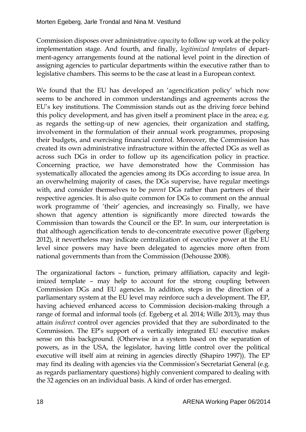Commission disposes over administrative *capacity* to follow up work at the policy implementation stage. And fourth, and finally, *legitimized templates* of department-agency arrangements found at the national level point in the direction of assigning agencies to particular departments within the executive rather than to legislative chambers. This seems to be the case at least in a European context.

We found that the EU has developed an 'agencification policy' which now seems to be anchored in common understandings and agreements across the EU's key institutions. The Commission stands out as the driving force behind this policy development, and has given itself a prominent place in the area; e.g. as regards the setting-up of new agencies, their organization and staffing, involvement in the formulation of their annual work programmes, proposing their budgets, and exercising financial control. Moreover, the Commission has created its own administrative infrastructure within the affected DGs as well as across such DGs in order to follow up its agencification policy in practice. Concerning practice, we have demonstrated how the Commission has systematically allocated the agencies among its DGs according to issue area. In an overwhelming majority of cases, the DGs supervise, have regular meetings with, and consider themselves to be *parent* DGs rather than partners of their respective agencies. It is also quite common for DGs to comment on the annual work programme of 'their' agencies, and increasingly so. Finally, we have shown that agency attention is significantly more directed towards the Commission than towards the Council or the EP. In sum, our interpretation is that although agencification tends to de-concentrate executive power (Egeberg 2012), it nevertheless may indicate centralization of executive power at the EU level since powers may have been delegated to agencies more often from national governments than from the Commission (Dehousse 2008).

The organizational factors – function, primary affiliation, capacity and legitimized template – may help to account for the strong coupling between Commission DGs and EU agencies. In addition, steps in the direction of a parliamentary system at the EU level may reinforce such a development. The EP, having achieved enhanced access to Commission decision-making through a range of formal and informal tools (cf. Egeberg et al. 2014; Wille 2013), may thus attain *indirect* control over agencies provided that they are subordinated to the Commission. The EP's support of a vertically integrated EU executive makes sense on this background. (Otherwise in a system based on the separation of powers, as in the USA, the legislator, having little control over the political executive will itself aim at reining in agencies directly (Shapiro 1997)). The EP may find its dealing with agencies via the Commission's Secretariat General (e.g. as regards parliamentary questions) highly convenient compared to dealing with the 32 agencies on an individual basis. A kind of order has emerged.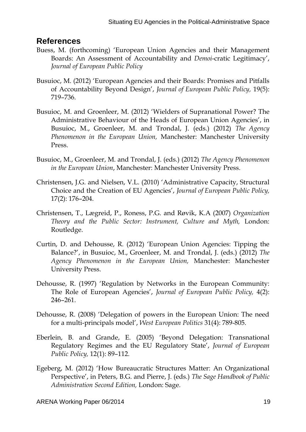#### **References**

- Buess, M. (forthcoming) 'European Union Agencies and their Management Boards: An Assessment of Accountability and *Demoi*-cratic Legitimacy', *Journal of European Public Policy*
- Busuioc, M. (2012) 'European Agencies and their Boards: Promises and Pitfalls of Accountability Beyond Design', *Journal of European Public Policy,* 19(5): 719–736.
- Busuioc, M. and Groenleer, M. (2012) 'Wielders of Supranational Power? The Administrative Behaviour of the Heads of European Union Agencies', in Busuioc, M., Groenleer, M. and Trondal, J. (eds.) (2012) *The Agency Phenomenon in the European Union,* Manchester: Manchester University Press.
- Busuioc, M., Groenleer, M. and Trondal, J. (eds.) (2012) *The Agency Phenomenon in the European Union*, Manchester: Manchester University Press.
- Christensen, J.G. and Nielsen, V.L. (2010) 'Administrative Capacity, Structural Choice and the Creation of EU Agencies', *Journal of European Public Policy,* 17(2): 176–204.
- Christensen, T., Lægreid, P., Roness, P.G. and Røvik, K.A (2007) *Organization Theory and the Public Sector: Instrument, Culture and Myth,* London: Routledge.
- Curtin, D. and Dehousse, R. (2012) 'European Union Agencies: Tipping the Balance?', in Busuioc, M., Groenleer, M. and Trondal, J. (eds.) (2012) *The Agency Phenomenon in the European Union,* Manchester: Manchester University Press.
- Dehousse, R. (1997) 'Regulation by Networks in the European Community: The Role of European Agencies', *Journal of European Public Policy,* 4(2): 246–261.
- Dehousse, R. (2008) 'Delegation of powers in the European Union: The need for a multi-principals model', *West European Politics* 31(4): 789-805.
- Eberlein, B. and Grande, E. (2005) 'Beyond Delegation: Transnational Regulatory Regimes and the EU Regulatory State', *Journal of European Public Policy,* 12(1): 89–112.
- Egeberg, M. (2012) 'How Bureaucratic Structures Matter: An Organizational Perspective', in Peters, B.G. and Pierre, J. (eds.) *The Sage Handbook of Public Administration Second Edition,* London: Sage.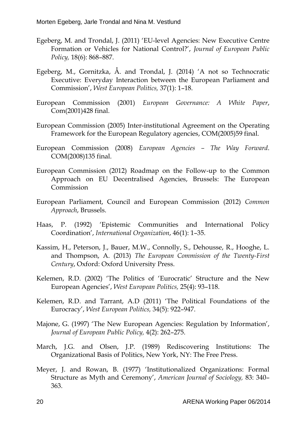- Egeberg, M. and Trondal, J. (2011) 'EU-level Agencies: New Executive Centre Formation or Vehicles for National Control?', *Journal of European Public Policy,* 18(6): 868–887.
- Egeberg, M., Gornitzka, Å. and Trondal, J. (2014) 'A not so Technocratic Executive: Everyday Interaction between the European Parliament and Commission', *West European Politics,* 37(1): 1–18.
- European Commission (2001) *European Governance: A White Paper*, Com(2001)428 final.
- European Commission (2005) Inter-institutional Agreement on the Operating Framework for the European Regulatory agencies, COM(2005)59 final.
- European Commission (2008) *European Agencies – The Way Forward*. COM(2008)135 final.
- European Commission (2012) Roadmap on the Follow-up to the Common Approach on EU Decentralised Agencies, Brussels: The European Commission
- European Parliament, Council and European Commission (2012) *Common Approach*, Brussels.
- Haas, P. (1992) 'Epistemic Communities and International Policy Coordination', *International Organization*, 46(1): 1–35.
- Kassim, H., Peterson, J., Bauer, M.W., Connolly, S., Dehousse, R., Hooghe, L. and Thompson, A. (2013) *The European Commission of the Twenty-First Century*, Oxford: Oxford University Press.
- Kelemen, R.D. (2002) 'The Politics of 'Eurocratic' Structure and the New European Agencies', *West European Politics,* 25(4): 93–118.
- Kelemen, R.D. and Tarrant, A.D (2011) 'The Political Foundations of the Eurocracy', *West European Politics,* 34(5): 922–947.
- Majone, G. (1997) 'The New European Agencies: Regulation by Information', *Journal of European Public Policy,* 4(2): 262–275.
- March, J.G. and Olsen, J.P. (1989) Rediscovering Institutions: The Organizational Basis of Politics, New York, NY: The Free Press.
- Meyer, J. and Rowan, B. (1977) 'Institutionalized Organizations: Formal Structure as Myth and Ceremony', *American Journal of Sociology,* 83: 340– 363.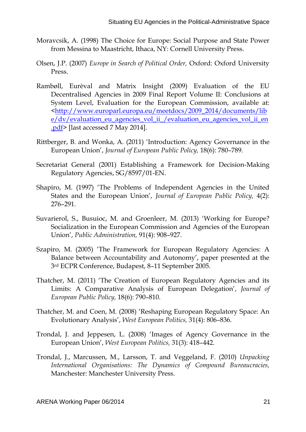- Moravcsik, A. (1998) The Choice for Europe: Social Purpose and State Power from Messina to Maastricht, Ithaca, NY: Cornell University Press.
- Olsen, J.P. (2007) *Europe in Search of Political Order,* Oxford: Oxford University Press.
- Rambøll, Eurèval and Matrix Insight (2009) Evaluation of the EU Decentralised Agencies in 2009 Final Report Volume II: Conclusions at System Level, Evaluation for the European Commission, available at: [<http://www.europarl.europa.eu/meetdocs/2009\\_2014/documents/lib](http://www.europarl.europa.eu/meetdocs/2009_2014/documents/libe/dv/evaluation_eu_agencies_vol_ii_/evaluation_eu_agencies_vol_ii_en.pdf) [e/dv/evaluation\\_eu\\_agencies\\_vol\\_ii\\_/evaluation\\_eu\\_agencies\\_vol\\_ii\\_en](http://www.europarl.europa.eu/meetdocs/2009_2014/documents/libe/dv/evaluation_eu_agencies_vol_ii_/evaluation_eu_agencies_vol_ii_en.pdf) [.pdf>](http://www.europarl.europa.eu/meetdocs/2009_2014/documents/libe/dv/evaluation_eu_agencies_vol_ii_/evaluation_eu_agencies_vol_ii_en.pdf) [last accessed 7 May 2014].
- Rittberger, B. and Wonka, A. (2011) 'Introduction: Agency Governance in the European Union', *Journal of European Public Policy,* 18(6): 780–789.
- Secretariat General (2001) Establishing a Framework for Decision-Making Regulatory Agencies, SG/8597/01-EN.
- Shapiro, M. (1997) 'The Problems of Independent Agencies in the United States and the European Union', *Journal of European Public Policy,* 4(2): 276–291.
- Suvarierol, S., Busuioc, M. and Groenleer, M. (2013) 'Working for Europe? Socialization in the European Commission and Agencies of the European Union', *Public Administration,* 91(4): 908–927.
- Szapiro, M. (2005) 'The Framework for European Regulatory Agencies: A Balance between Accountability and Autonomy', paper presented at the 3rd ECPR Conference, Budapest, 8–11 September 2005.
- Thatcher, M. (2011) 'The Creation of European Regulatory Agencies and its Limits: A Comparative Analysis of European Delegation', *Journal of European Public Policy,* 18(6): 790–810.
- Thatcher, M. and Coen, M. (2008) 'Reshaping European Regulatory Space: An Evolutionary Analysis', *West European Politics,* 31(4): 806–836.
- Trondal, J. and Jeppesen, L. (2008) 'Images of Agency Governance in the European Union', *West European Politics,* 31(3): 418–442.
- Trondal, J., Marcussen, M., Larsson, T. and Veggeland, F. (2010) *Unpacking International Organisations: The Dynamics of Compound Bureaucracies,* Manchester: Manchester University Press.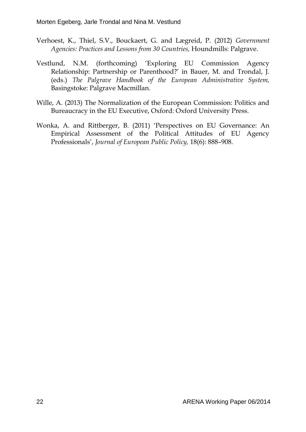- Verhoest, K., Thiel, S.V., Bouckaert, G. and Lægreid, P. (2012) *Government Agencies: Practices and Lessons from 30 Countries,* Houndmills: Palgrave.
- Vestlund, N.M. (forthcoming) 'Exploring EU Commission Agency Relationship: Partnership or Parenthood?' in Bauer, M. and Trondal, J. (eds.) *The Palgrave Handbook of the European Administrative System,* Basingstoke: Palgrave Macmillan.
- Wille, A. (2013) The Normalization of the European Commission: Politics and Bureaucracy in the EU Executive, Oxford: Oxford University Press.
- Wonka, A. and Rittberger, B. (2011) 'Perspectives on EU Governance: An Empirical Assessment of the Political Attitudes of EU Agency Professionals', *Journal of European Public Policy,* 18(6): 888–908.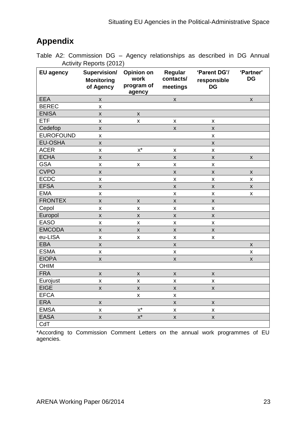## **Appendix**

Table A2: Commission DG – Agency relationships as described in DG Annual Activity Reports (2012)

| <b>EU agency</b> | Supervision/<br><b>Monitoring</b><br>of Agency | <b>Opinion on</b><br>work<br>program of<br>agency | Regular<br>contacts/<br>meetings | 'Parent DG'/<br>responsible<br><b>DG</b> | 'Partner'<br><b>DG</b> |
|------------------|------------------------------------------------|---------------------------------------------------|----------------------------------|------------------------------------------|------------------------|
| <b>EEA</b>       | $\pmb{\mathsf{X}}$                             |                                                   | $\pmb{\mathsf{X}}$               |                                          | $\pmb{\mathsf{X}}$     |
| <b>BEREC</b>     | $\pmb{\mathsf{X}}$                             |                                                   |                                  |                                          |                        |
| <b>ENISA</b>     | $\pmb{\mathsf{X}}$                             | $\pmb{\mathsf{X}}$                                |                                  |                                          |                        |
| <b>ETF</b>       | $\pmb{\mathsf{X}}$                             | X                                                 | $\pmb{\mathsf{X}}$               | $\pmb{\mathsf{x}}$                       |                        |
| Cedefop          | $\pmb{\mathsf{X}}$                             |                                                   | $\pmb{\mathsf{X}}$               | $\pmb{\mathsf{X}}$                       |                        |
| <b>EUROFOUND</b> | $\pmb{\mathsf{x}}$                             |                                                   |                                  | $\pmb{\mathsf{X}}$                       |                        |
| <b>EU-OSHA</b>   | $\pmb{\mathsf{X}}$                             |                                                   |                                  | $\pmb{\mathsf{X}}$                       |                        |
| <b>ACER</b>      | X                                              | $x^*$                                             | $\pmb{\mathsf{X}}$               | $\pmb{\mathsf{X}}$                       |                        |
| <b>ECHA</b>      | $\pmb{\mathsf{X}}$                             |                                                   | $\pmb{\mathsf{X}}$               | $\pmb{\mathsf{X}}$                       | $\pmb{\mathsf{x}}$     |
| <b>GSA</b>       | $\pmb{\mathsf{X}}$                             | $\pmb{\mathsf{X}}$                                | $\pmb{\mathsf{X}}$               | $\pmb{\mathsf{X}}$                       |                        |
| <b>CVPO</b>      | $\pmb{\mathsf{X}}$                             |                                                   | $\pmb{\mathsf{X}}$               | $\pmb{\mathsf{X}}$                       | $\pmb{\mathsf{X}}$     |
| <b>ECDC</b>      | $\pmb{\mathsf{X}}$                             |                                                   | $\pmb{\mathsf{X}}$               | $\pmb{\mathsf{X}}$                       | $\pmb{\mathsf{x}}$     |
| <b>EFSA</b>      | $\pmb{\mathsf{X}}$                             |                                                   | $\pmb{\mathsf{X}}$               | $\pmb{\mathsf{X}}$                       | $\pmb{\mathsf{X}}$     |
| <b>EMA</b>       | $\pmb{\mathsf{X}}$                             |                                                   | $\pmb{\times}$                   | $\pmb{\times}$                           | X                      |
| <b>FRONTEX</b>   | $\pmb{\mathsf{x}}$                             | $\pmb{\mathsf{X}}$                                | $\pmb{\mathsf{X}}$               | $\pmb{\mathsf{X}}$                       |                        |
| Cepol            | $\pmb{\mathsf{X}}$                             | X                                                 | $\pmb{\mathsf{X}}$               | $\pmb{\mathsf{X}}$                       |                        |
| Europol          | X                                              | $\pmb{\mathsf{X}}$                                | X                                | $\pmb{\times}$                           |                        |
| <b>EASO</b>      | $\pmb{\mathsf{X}}$                             | X                                                 | $\pmb{\mathsf{X}}$               | $\pmb{\mathsf{X}}$                       |                        |
| <b>EMCODA</b>    | $\mathsf{x}$                                   | $\mathsf{X}$                                      | $\pmb{\mathsf{X}}$               | $\pmb{\mathsf{X}}$                       |                        |
| eu-LISA          | $\pmb{\mathsf{X}}$                             | X                                                 | $\pmb{\mathsf{X}}$               | $\pmb{\mathsf{X}}$                       |                        |
| <b>EBA</b>       | $\pmb{\mathsf{X}}$                             |                                                   | $\pmb{\mathsf{X}}$               |                                          | $\pmb{\mathsf{X}}$     |
| <b>ESMA</b>      | $\pmb{\mathsf{X}}$                             |                                                   | $\pmb{\mathsf{X}}$               |                                          | $\pmb{\mathsf{x}}$     |
| <b>EIOPA</b>     | $\pmb{\mathsf{X}}$                             |                                                   | $\pmb{\mathsf{X}}$               |                                          | $\pmb{\mathsf{X}}$     |
| <b>OHIM</b>      |                                                |                                                   |                                  |                                          |                        |
| <b>FRA</b>       | $\pmb{\mathsf{X}}$                             | $\pmb{\mathsf{X}}$                                | $\pmb{\mathsf{X}}$               | $\pmb{\times}$                           |                        |
| Eurojust         | X                                              | X                                                 | X                                | $\pmb{\times}$                           |                        |
| <b>EIGE</b>      | $\pmb{\mathsf{X}}$                             | $\pmb{\mathsf{X}}$                                | $\pmb{\mathsf{X}}$               | $\pmb{\times}$                           |                        |
| <b>EFCA</b>      |                                                | $\pmb{\mathsf{x}}$                                | $\pmb{\mathsf{X}}$               |                                          |                        |
| <b>ERA</b>       | $\pmb{\mathsf{X}}$                             |                                                   | $\pmb{\mathsf{X}}$               | $\pmb{\mathsf{X}}$                       |                        |
| <b>EMSA</b>      | $\pmb{\mathsf{X}}$                             | $\mathsf{X}^\star$                                | $\pmb{\mathsf{X}}$               | $\pmb{\mathsf{X}}$                       |                        |
| <b>EASA</b>      | $\pmb{\mathsf{X}}$                             | $\overline{x^*}$                                  | $\pmb{\mathsf{X}}$               | $\pmb{\mathsf{X}}$                       |                        |
| CdT              |                                                |                                                   |                                  |                                          |                        |

\*According to Commission Comment Letters on the annual work programmes of EU agencies.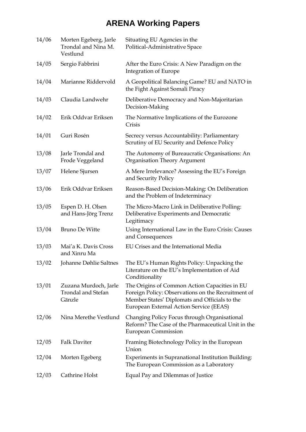## **ARENA Working Papers**

| 14/06 | Morten Egeberg, Jarle<br>Trondal and Nina M.<br>Vestlund     | Situating EU Agencies in the<br>Political-Administrative Space                                                                                                                                  |
|-------|--------------------------------------------------------------|-------------------------------------------------------------------------------------------------------------------------------------------------------------------------------------------------|
| 14/05 | Sergio Fabbrini                                              | After the Euro Crisis: A New Paradigm on the<br>Integration of Europe                                                                                                                           |
| 14/04 | Marianne Riddervold                                          | A Geopolitical Balancing Game? EU and NATO in<br>the Fight Against Somali Piracy                                                                                                                |
| 14/03 | Claudia Landwehr                                             | Deliberative Democracy and Non-Majoritarian<br>Decision-Making                                                                                                                                  |
| 14/02 | Erik Oddvar Eriksen                                          | The Normative Implications of the Eurozone<br>Crisis                                                                                                                                            |
| 14/01 | Guri Rosén                                                   | Secrecy versus Accountability: Parliamentary<br>Scrutiny of EU Security and Defence Policy                                                                                                      |
| 13/08 | Jarle Trondal and<br>Frode Veggeland                         | The Autonomy of Bureaucratic Organisations: An<br>Organisation Theory Argument                                                                                                                  |
| 13/07 | Helene Sjursen                                               | A Mere Irrelevance? Assessing the EU's Foreign<br>and Security Policy                                                                                                                           |
| 13/06 | Erik Oddvar Eriksen                                          | Reason-Based Decision-Making: On Deliberation<br>and the Problem of Indeterminacy                                                                                                               |
| 13/05 | Espen D. H. Olsen<br>and Hans-Jörg Trenz                     | The Micro-Macro Link in Deliberative Polling:<br>Deliberative Experiments and Democratic<br>Legitimacy                                                                                          |
| 13/04 | <b>Bruno De Witte</b>                                        | Using International Law in the Euro Crisis: Causes<br>and Consequences                                                                                                                          |
| 13/03 | Mai'a K. Davis Cross<br>and Xinru Ma                         | EU Crises and the International Media                                                                                                                                                           |
| 13/02 | Johanne Døhlie Saltnes                                       | The EU's Human Rights Policy: Unpacking the<br>Literature on the EU's Implementation of Aid<br>Conditionality                                                                                   |
| 13/01 | Zuzana Murdoch, Jarle<br><b>Trondal and Stefan</b><br>Gänzle | The Origins of Common Action Capacities in EU<br>Foreign Policy: Observations on the Recruitment of<br>Member States' Diplomats and Officials to the<br>European External Action Service (EEAS) |
| 12/06 | Nina Merethe Vestlund                                        | Changing Policy Focus through Organisational<br>Reform? The Case of the Pharmaceutical Unit in the<br><b>European Commission</b>                                                                |
| 12/05 | <b>Falk Daviter</b>                                          | Framing Biotechnology Policy in the European<br>Union                                                                                                                                           |
| 12/04 | Morten Egeberg                                               | Experiments in Supranational Institution Building:<br>The European Commission as a Laboratory                                                                                                   |
| 12/03 | Cathrine Holst                                               | Equal Pay and Dilemmas of Justice                                                                                                                                                               |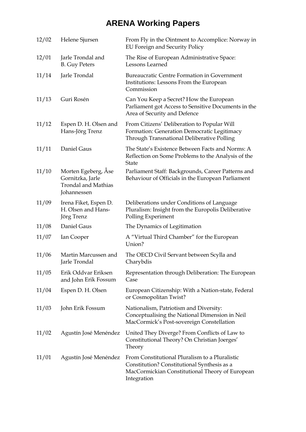## **ARENA Working Papers**

| 12/02 | Helene Sjursen                                                                       | From Fly in the Ointment to Accomplice: Norway in<br>EU Foreign and Security Policy                                                                             |
|-------|--------------------------------------------------------------------------------------|-----------------------------------------------------------------------------------------------------------------------------------------------------------------|
| 12/01 | Jarle Trondal and<br><b>B.</b> Guy Peters                                            | The Rise of European Administrative Space:<br>Lessons Learned                                                                                                   |
| 11/14 | Jarle Trondal                                                                        | <b>Bureaucratic Centre Formation in Government</b><br>Institutions: Lessons From the European<br>Commission                                                     |
| 11/13 | Guri Rosén                                                                           | Can You Keep a Secret? How the European<br>Parliament got Access to Sensitive Documents in the<br>Area of Security and Defence                                  |
| 11/12 | Espen D. H. Olsen and<br>Hans-Jörg Trenz                                             | From Citizens' Deliberation to Popular Will<br>Formation: Generation Democratic Legitimacy<br>Through Transnational Deliberative Polling                        |
| 11/11 | Daniel Gaus                                                                          | The State's Existence Between Facts and Norms: A<br>Reflection on Some Problems to the Analysis of the<br><b>State</b>                                          |
| 11/10 | Morten Egeberg, Åse<br>Gornitzka, Jarle<br><b>Trondal and Mathias</b><br>Johannessen | Parliament Staff: Backgrounds, Career Patterns and<br>Behaviour of Officials in the European Parliament                                                         |
| 11/09 | Irena Fiket, Espen D.<br>H. Olsen and Hans-<br>Jörg Trenz                            | Deliberations under Conditions of Language<br>Pluralism: Insight from the Europolis Deliberative<br>Polling Experiment                                          |
| 11/08 | Daniel Gaus                                                                          | The Dynamics of Legitimation                                                                                                                                    |
| 11/07 | Ian Cooper                                                                           | A "Virtual Third Chamber" for the European<br>Union?                                                                                                            |
| 11/06 | Martin Marcussen and<br>Jarle Trondal                                                | The OECD Civil Servant between Scylla and<br>Charybdis                                                                                                          |
| 11/05 | Erik Oddvar Eriksen<br>and John Erik Fossum                                          | Representation through Deliberation: The European<br>Case                                                                                                       |
| 11/04 | Espen D. H. Olsen                                                                    | European Citizenship: With a Nation-state, Federal<br>or Cosmopolitan Twist?                                                                                    |
| 11/03 | John Erik Fossum                                                                     | Nationalism, Patriotism and Diversity:<br>Conceptualising the National Dimension in Neil<br>MacCormick's Post-sovereign Constellation                           |
| 11/02 | Agustín José Menéndez                                                                | United They Diverge? From Conflicts of Law to<br>Constitutional Theory? On Christian Joerges'<br>Theory                                                         |
| 11/01 | Agustín José Menéndez                                                                | From Constitutional Pluralism to a Pluralistic<br>Constitution? Constitutional Synthesis as a<br>MacCormickian Constitutional Theory of European<br>Integration |